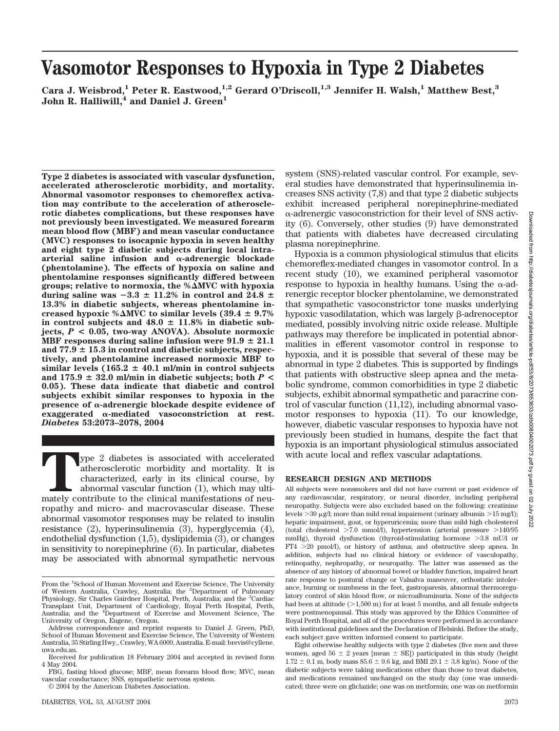# **Vasomotor Responses to Hypoxia in Type 2 Diabetes**

Cara J. Weisbrod,<sup>1</sup> Peter R. Eastwood,<sup>1,2</sup> Gerard O'Driscoll,<sup>1,3</sup> Jennifer H. Walsh,<sup>1</sup> Matthew Best,<sup>3</sup> John R. Halliwill,<sup>4</sup> and Daniel J. Green<sup>1</sup>

**Type 2 diabetes is associated with vascular dysfunction, accelerated atherosclerotic morbidity, and mortality. Abnormal vasomotor responses to chemoreflex activation may contribute to the acceleration of atherosclerotic diabetes complications, but these responses have not previously been investigated. We measured forearm mean blood flow (MBF) and mean vascular conductance (MVC) responses to isocapnic hypoxia in seven healthy and eight type 2 diabetic subjects during local intra-** $\alpha$ -adrenergic blockade **(phentolamine). The effects of hypoxia on saline and phentolamine responses significantly differed between groups; relative to normoxia, the %**-**MVC with hypoxia** during saline was  $-3.3 \pm 11.2\%$  in control and 24.8  $\pm$ **13.3% in diabetic subjects, whereas phentolamine in**creased hypoxic % $\Delta$ MVC to similar levels (39.4  $\pm$  9.7% in control subjects and  $48.0 \pm 11.8\%$  in diabetic sub**jects,** *P* **< 0.05, two-way ANOVA). Absolute normoxic MBF responses during saline infusion were**  $91.9 \pm 21.1$ and  $77.9 \pm 15.3$  in control and diabetic subjects, respec**tively, and phentolamine increased normoxic MBF to** similar levels  $(165.2 \pm 40.1 \text{ m/min}$  in control subjects and  $175.9 \pm 32.0$  ml/min in diabetic subjects; both  $P \leq$ **0.05). These data indicate that diabetic and control subjects exhibit similar responses to hypoxia in the presence of**  $\alpha$ **-adrenergic blockade despite evidence of**  $\alpha$ -mediated vasoconstriction at rest. *Diabetes* **53:2073–2078, 2004**

**The 2** diabetes is associated with accelerated atherosclerotic morbidity and mortality. It is characterized, early in its clinical course, by abnormal vascular function (1), which may ultimately contribute to the clinical atherosclerotic morbidity and mortality. It is characterized, early in its clinical course, by abnormal vascular function (1), which may ultiropathy and micro- and macrovascular disease. These abnormal vasomotor responses may be related to insulin resistance (2), hyperinsulinemia (3), hyperglycemia (4), endothelial dysfunction (1,5), dyslipidemia (3), or changes in sensitivity to norepinephrine (6). In particular, diabetes may be associated with abnormal sympathetic nervous

© 2004 by the American Diabetes Association.

system (SNS)-related vascular control. For example, several studies have demonstrated that hyperinsulinemia increases SNS activity (7,8) and that type 2 diabetic subjects exhibit increased peripheral norepinephrine-mediated -adrenergic vasoconstriction for their level of SNS activity (6). Conversely, other studies (9) have demonstrated that patients with diabetes have decreased circulating plasma norepinephrine.

Hypoxia is a common physiological stimulus that elicits chemoreflex-mediated changes in vasomotor control. In a recent study (10), we examined peripheral vasomotor response to hypoxia in healthy humans. Using the  $\alpha$ -adrenergic receptor blocker phentolamine, we demonstrated that sympathetic vasoconstrictor tone masks underlying hypoxic vasodilatation, which was largely  $\beta$ -adrenoceptor mediated, possibly involving nitric oxide release. Multiple pathways may therefore be implicated in potential abnormalities in efferent vasomotor control in response to hypoxia, and it is possible that several of these may be abnormal in type 2 diabetes. This is supported by findings that patients with obstructive sleep apnea and the metabolic syndrome, common comorbidities in type 2 diabetic subjects, exhibit abnormal sympathetic and paracrine control of vascular function (11,12), including abnormal vasomotor responses to hypoxia (11). To our knowledge, however, diabetic vascular responses to hypoxia have not previously been studied in humans, despite the fact that hypoxia is an important physiological stimulus associated with acute local and reflex vascular adaptations.

#### **RESEARCH DESIGN AND METHODS**

All subjects were nonsmokers and did not have current or past evidence of any cardiovascular, respiratory, or neural disorder, including peripheral neuropathy. Subjects were also excluded based on the following: creatinine levels  $>30 \mu$ g/l; more than mild renal impairment (urinary albumin  $>15 \text{ mg/l}$ ); hepatic impairment, gout, or hyperuricemia; more than mild high cholesterol (total cholesterol  $>7.0$  mmol/l), hypertension (arterial pressure  $>140/95$ mmHg), thyroid dysfunction (thyroid-stimulating hormone 3.8 mU/l or FT4 20 pmol/l), or history of asthma; and obstructive sleep apnea. In addition, subjects had no clinical history or evidence of vasculopathy, retinopathy, nephropathy, or neuropathy. The latter was assessed as the absence of any history of abnormal bowel or bladder function, impaired heart rate response to postural change or Valsalva maneuver, orthostatic intolerance, burning or numbness in the feet, gastroparesis, abnormal thermoregulatory control of skin blood flow, or microalbuminuria. None of the subjects had been at altitude  $(>1,500 \text{ m})$  for at least 5 months, and all female subjects were postmenopausal. This study was approved by the Ethics Committee of Royal Perth Hospital, and all of the procedures were performed in accordance with institutional guidelines and the Declaration of Helsinki. Before the study, each subject gave written informed consent to participate.

Eight otherwise healthy subjects with type 2 diabetes (five men and three women, aged 56  $\pm$  2 years [mean  $\pm$  SE]) participated in this study (height  $1.72\pm0.1$  m, body mass 85.6  $\pm$  9.6 kg, and BMI 29.1  $\pm$  3.8 kg/m). None of the diabetic subjects were taking medications other than those to treat diabetes, and medications remained unchanged on the study day (one was unmedicated; three were on gliclazide; one was on metformin; one was on metformin

From the <sup>1</sup>School of Human Movement and Exercise Science, The University of Western Australia, Crawley, Australia; the <sup>2</sup>Department of Pulmonary Physiology, Sir Charles Gairdner Hospital, Perth, Australia; and the <sup>3</sup>Cardiac Transplant Unit, Department of Cardiology, Royal Perth Hospital, Perth, Australia; and the <sup>4</sup> Department of Exercise and Movement Science, The University of Oregon, Eugene, Oregon.

Address correspondence and reprint requests to Daniel J. Green, PhD, School of Human Movement and Exercise Science, The University of Western Australia, 35 Stirling Hwy., Crawley, WA 6009, Australia. E-mail: brevis@cyllene. uwa.edu.au.

Received for publication 18 February 2004 and accepted in revised form 4 May 2004.

FBG, fasting blood glucose; MBF, mean forearm blood flow; MVC, mean vascular conductance; SNS, sympathetic nervous system.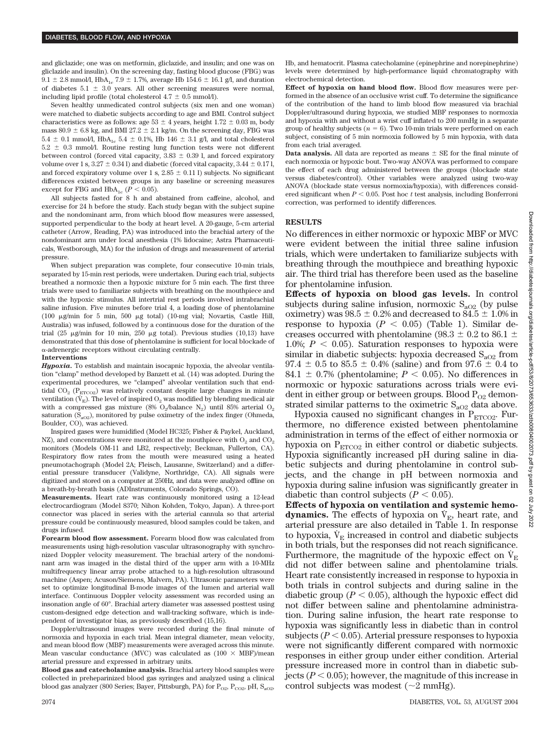and gliclazide; one was on metformin, gliclazide, and insulin; and one was on gliclazide and insulin). On the screening day, fasting blood glucose (FBG) was 9.1  $\pm$  2.8 mmol/l, HbA<sub>1c</sub> 7.9  $\pm$  1.7%, average Hb 154.6  $\pm$  16.1 g/l, and duration of diabetes  $5.1 \pm 3.0$  years. All other screening measures were normal, including lipid profile (total cholesterol  $4.7 \pm 0.5$  mmol/l).

Seven healthy unmedicated control subjects (six men and one woman) were matched to diabetic subjects according to age and BMI. Control subject characteristics were as follows: age  $53 \pm 4$  years, height  $1.72 \pm 0.03$  m, body mass  $80.9 \pm 6.8$  kg, and BMI 27.2  $\pm$  2.1 kg/m. On the screening day, FBG was 5.4  $\pm$  0.1 mmol/l, HbA<sub>1c</sub> 5.4  $\pm$  0.1%, Hb 146  $\pm$  3.1 g/l, and total cholesterol  $5.2 \pm 0.3$  mmol/l. Routine resting lung function tests were not different between control (forced vital capacity,  $3.83 \pm 0.39$  l, and forced expiratory volume over 1 s,  $3.27 \pm 0.34$  l) and diabetic (forced vital capacity,  $3.44 \pm 0.17$  l, and forced expiratory volume over 1 s,  $2.85 \pm 0.11$  l) subjects. No significant differences existed between groups in any baseline or screening measures except for FBG and  $HbA_{1c}$  ( $P < 0.05$ ).

All subjects fasted for 8 h and abstained from caffeine, alcohol, and exercise for 24 h before the study. Each study began with the subject supine and the nondominant arm, from which blood flow measures were assessed, supported perpendicular to the body at heart level. A 20-gauge, 5-cm arterial catheter (Arrow, Reading, PA) was introduced into the brachial artery of the nondominant arm under local anesthesia (1% lidocaine; Astra Pharmaceuticals, Westborough, MA) for the infusion of drugs and measurement of arterial pressure.

When subject preparation was complete, four consecutive 10-min trials, separated by 15-min rest periods, were undertaken. During each trial, subjects breathed a normoxic then a hypoxic mixture for 5 min each. The first three trials were used to familiarize subjects with breathing on the mouthpiece and with the hypoxic stimulus. All intertrial rest periods involved intrabrachial saline infusion. Five minutes before trial 4, a loading dose of phentolamine (100  $\mu$ g/min for 5 min, 500  $\mu$ g total) (10-mg vial; Novartis, Castle Hill, Australia) was infused, followed by a continuous dose for the duration of the trial (25  $\mu$ g/min for 10 min, 250  $\mu$ g total). Previous studies (10,13) have demonstrated that this dose of phentolamine is sufficient for local blockade of  $\alpha$ -adrenergic receptors without circulating centrally.

#### **Interventions**

*Hypoxia.* To establish and maintain isocapnic hypoxia, the alveolar ventilation "clamp" method developed by Banzett et al. (14) was adopted. During the experimental procedures, we "clamped" alveolar ventilation such that endtidal CO<sub>2</sub> ( $P_{ETCO2}$ ) was relatively constant despite large changes in minute ventilation  $(\dot{V}_F)$ . The level of inspired  $O_2$  was modified by blending medical air with a compressed gas mixture (8%  $O_2$ /balance N<sub>2</sub>) until 85% arterial  $O_2$ saturation  $(S_{aO2})$ , monitored by pulse oximetry of the index finger (Ohmeda, Boulder, CO), was achieved.

Inspired gases were humidified (Model HC325; Fisher & Paykel, Auckland,  $NZ$ ), and concentrations were monitored at the mouthpiece with  $O<sub>2</sub>$  and  $CO<sub>2</sub>$ monitors (Models OM-11 and LB2, respectively; Beckman, Fullerton, CA). Respiratory flow rates from the mouth were measured using a heated pneumotachograph (Model 2A; Fleisch, Lausanne, Switzerland) and a differential pressure transducer (Validyne, Northridge, CA). All signals were digitized and stored on a computer at 250Hz, and data were analyzed offline on a breath-by-breath basis (ADInstruments, Colorado Springs, CO).

**Measurements.** Heart rate was continuously monitored using a 12-lead electrocardiogram (Model 8370; Nihon Kohden, Tokyo, Japan). A three-port connector was placed in series with the arterial cannula so that arterial pressure could be continuously measured, blood samples could be taken, and drugs infused.

**Forearm blood flow assessment.** Forearm blood flow was calculated from measurements using high-resolution vascular ultrasonography with synchronized Doppler velocity measurement. The brachial artery of the nondominant arm was imaged in the distal third of the upper arm with a 10-MHz multifrequency linear array probe attached to a high-resolution ultrasound machine (Aspen; Acuson/Siemens, Malvern, PA). Ultrasonic parameters were set to optimize longitudinal B-mode images of the lumen and arterial wall interface. Continuous Doppler velocity assessment was recorded using an insonation angle of 60°. Brachial artery diameter was assessed posttest using custom-designed edge detection and wall-tracking software, which is independent of investigator bias, as previously described (15,16).

Doppler/ultrasound images were recorded during the final minute of normoxia and hypoxia in each trial. Mean integral diameter, mean velocity, and mean blood flow (MBF) measurements were averaged across this minute. Mean vascular conductance (MVC) was calculated as  $(100 \times \text{MBF})/\text{mean}$ arterial pressure and expressed in arbitrary units.

**Blood gas and catecholamine analysis.** Brachial artery blood samples were collected in preheparinized blood gas syringes and analyzed using a clinical blood gas analyzer (800 Series; Bayer, Pittsburgh, PA) for  $P_{O2}$ ,  $P_{CO2}$ , pH,  $S_{aO2}$ , Hb, and hematocrit. Plasma catecholamine (epinephrine and norepinephrine) levels were determined by high-performance liquid chromatography with electrochemical detection.

**Effect of hypoxia on hand blood flow.** Blood flow measures were performed in the absence of an occlusive wrist cuff. To determine the significance of the contribution of the hand to limb blood flow measured via brachial Doppler/ultrasound during hypoxia, we studied MBF responses to normoxia and hypoxia with and without a wrist cuff inflated to 200 mmHg in a separate group of healthy subjects  $(n = 6)$ . Two 10-min trials were performed on each subject, consisting of 5 min normoxia followed by 5 min hypoxia, with data from each trial averaged.

**Data analysis.** All data are reported as means  $\pm$  SE for the final minute of each normoxia or hypoxic bout. Two-way ANOVA was performed to compare the effect of each drug administered between the groups (blockade state versus diabetes/control). Other variables were analyzed using two-way ANOVA (blockade state versus normoxia/hypoxia), with differences considered significant when  $P < 0.05$ . Post hoc *t* test analysis, including Bonferroni correction, was performed to identify differences.

#### **RESULTS**

No differences in either normoxic or hypoxic MBF or MVC were evident between the initial three saline infusion trials, which were undertaken to familiarize subjects with breathing through the mouthpiece and breathing hypoxic air. The third trial has therefore been used as the baseline for phentolamine infusion.

**Effects of hypoxia on blood gas levels.** In control subjects during saline infusion, normoxic  $S_{aO2}$  (by pulse oximetry) was 98.5  $\pm$  0.2% and decreased to 84.5  $\pm$  1.0% in response to hypoxia  $(P < 0.05)$  (Table 1). Similar decreases occurred with phentolamine (98.3  $\pm$  0.2 to 86.1  $\pm$ 1.0%;  $P < 0.05$ ). Saturation responses to hypoxia were similar in diabetic subjects: hypoxia decreased  $S_{aO2}$  from  $97.4 \pm 0.5$  to  $85.5 \pm 0.4\%$  (saline) and from  $97.6 \pm 0.4$  to 84.1  $\pm$  0.7% (phentolamine;  $P < 0.05$ ). No differences in normoxic or hypoxic saturations across trials were evident in either group or between groups. Blood  $P_{O2}$  demonstrated similar patterns to the oximetric  $S_{aO2}$  data above.

Hypoxia caused no significant changes in  $P_{ETCO2}$ . Furthermore, no difference existed between phentolamine administration in terms of the effect of either normoxia or hypoxia on  $P_{ETCO2}$  in either control or diabetic subjects. Hypoxia significantly increased pH during saline in diabetic subjects and during phentolamine in control subjects, and the change in pH between normoxia and hypoxia during saline infusion was significantly greater in diabetic than control subjects  $(P < 0.05)$ .

**Effects of hypoxia on ventilation and systemic hemodynamics.** The effects of hypoxia on  $V_{\rm E}$ , heart rate, and arterial pressure are also detailed in Table 1. In response to hypoxia,  $\dot{V}_{\rm E}$  increased in control and diabetic subjects in both trials, but the responses did not reach significance. Furthermore, the magnitude of the hypoxic effect on  $V_{\rm E}$ did not differ between saline and phentolamine trials. Heart rate consistently increased in response to hypoxia in both trials in control subjects and during saline in the diabetic group ( $P < 0.05$ ), although the hypoxic effect did not differ between saline and phentolamine administration. During saline infusion, the heart rate response to hypoxia was significantly less in diabetic than in control subjects ( $P < 0.05$ ). Arterial pressure responses to hypoxia were not significantly different compared with normoxic responses in either group under either condition. Arterial pressure increased more in control than in diabetic subjects  $(P < 0.05)$ ; however, the magnitude of this increase in control subjects was modest  $(\sim 2 \text{ mmHg}).$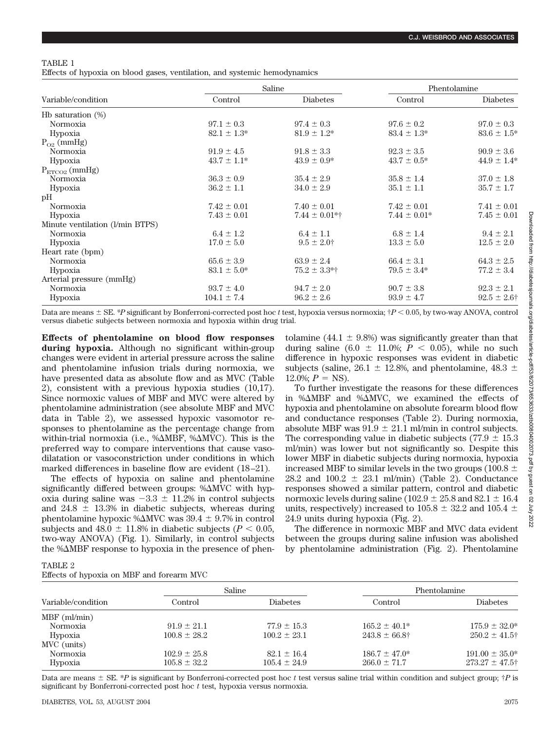Effects of hypoxia on blood gases, ventilation, and systemic hemodynamics

|                                 |                  | Saline            | Phentolamine     |                  |
|---------------------------------|------------------|-------------------|------------------|------------------|
| Variable/condition              | Control          | <b>Diabetes</b>   | Control          | <b>Diabetes</b>  |
| Hb saturation (%)               |                  |                   |                  |                  |
| Normoxia                        | $97.1 \pm 0.3$   | $97.4 \pm 0.3$    | $97.6 \pm 0.2$   | $97.0 \pm 0.3$   |
| Hypoxia                         | $82.1 \pm 1.3*$  | $81.9 \pm 1.2^*$  | $83.4 \pm 1.3*$  | $83.6 \pm 1.5^*$ |
| $P_{O2}$ (mmHg)                 |                  |                   |                  |                  |
| Normoxia                        | $91.9 \pm 4.5$   | $91.8 \pm 3.3$    | $92.3 \pm 3.5$   | $90.9 \pm 3.6$   |
| Hypoxia                         | $43.7 \pm 1.1^*$ | $43.9 \pm 0.9*$   | $43.7 \pm 0.5^*$ | $44.9 \pm 1.4^*$ |
| $P_{ETCO2}$ (mmHg)              |                  |                   |                  |                  |
| Normoxia                        | $36.3 \pm 0.9$   | $35.4 \pm 2.9$    | $35.8 \pm 1.4$   | $37.0 \pm 1.8$   |
| Hypoxia                         | $36.2 \pm 1.1$   | $34.0 \pm 2.9$    | $35.1 \pm 1.1$   | $35.7 \pm 1.7$   |
| pH                              |                  |                   |                  |                  |
| Normoxia                        | $7.42 \pm 0.01$  | $7.40 \pm 0.01$   | $7.42 \pm 0.01$  | $7.41 \pm 0.01$  |
| Hypoxia                         | $7.43 \pm 0.01$  | $7.44 \pm 0.01*$  | $7.44 \pm 0.01*$ | $7.45 \pm 0.01$  |
| Minute ventilation (I/min BTPS) |                  |                   |                  |                  |
| Normoxia                        | $6.4 \pm 1.2$    | $6.4 \pm 1.1$     | $6.8 \pm 1.4$    | $9.4 \pm 2.1$    |
| Hypoxia                         | $17.0 \pm 5.0$   | $9.5 \pm 2.0$ †   | $13.3 \pm 5.0$   | $12.5 \pm 2.0$   |
| Heart rate (bpm)                |                  |                   |                  |                  |
| Normoxia                        | $65.6 \pm 3.9$   | $63.9 \pm 2.4$    | $66.4 \pm 3.1$   | $64.3 \pm 2.5$   |
| Hypoxia                         | $83.1 \pm 5.0^*$ | $75.2 \pm 3.3$ *† | $79.5 \pm 3.4*$  | $77.2 \pm 3.4$   |
| Arterial pressure (mmHg)        |                  |                   |                  |                  |
| Normoxia                        | $93.7 \pm 4.0$   | $94.7 \pm 2.0$    | $90.7 \pm 3.8$   | $92.3 \pm 2.1$   |
| Hypoxia                         | $104.1 \pm 7.4$  | $96.2 \pm 2.6$    | $93.9 \pm 4.7$   | $92.5 \pm 2.6$ † |

Data are means  $\pm$  SE. \*P significant by Bonferroni-corrected post hoc *t* test, hypoxia versus normoxia;  $\uparrow$ P < 0.05, by two-way ANOVA, control versus diabetic subjects between normoxia and hypoxia within drug trial.

**Effects of phentolamine on blood flow responses during hypoxia.** Although no significant within-group changes were evident in arterial pressure across the saline and phentolamine infusion trials during normoxia, we have presented data as absolute flow and as MVC (Table 2), consistent with a previous hypoxia studies (10,17). Since normoxic values of MBF and MVC were altered by phentolamine administration (see absolute MBF and MVC data in Table 2), we assessed hypoxic vasomotor responses to phentolamine as the percentage change from within-trial normoxia (i.e., % $\triangle$ MBF, % $\triangle$ MVC). This is the preferred way to compare interventions that cause vasodilatation or vasoconstriction under conditions in which marked differences in baseline flow are evident (18–21).

The effects of hypoxia on saline and phentolamine significantly differed between groups: % MVC with hypoxia during saline was  $-3.3 \pm 11.2\%$  in control subjects and  $24.8 \pm 13.3\%$  in diabetic subjects, whereas during phentolamine hypoxic % $\Delta$ MVC was  $39.4~\pm~9.7\%$  in control subjects and  $48.0 \pm 11.8\%$  in diabetic subjects ( $P < 0.05$ , two-way ANOVA) (Fig. 1). Similarly, in control subjects the % MBF response to hypoxia in the presence of phentolamine (44.1  $\pm$  9.8%) was significantly greater than that during saline  $(6.0 \pm 11.0\%; P \leq 0.05)$ , while no such difference in hypoxic responses was evident in diabetic subjects (saline,  $26.1 \pm 12.8$ %, and phentolamine,  $48.3 \pm$ 12.0%;  $P = NS$ ).

To further investigate the reasons for these differences in % MBF and % MVC, we examined the effects of hypoxia and phentolamine on absolute forearm blood flow and conductance responses (Table 2). During normoxia, absolute MBF was  $91.9 \pm 21.1$  ml/min in control subjects. The corresponding value in diabetic subjects (77.9  $\pm$  15.3 ml/min) was lower but not significantly so. Despite this lower MBF in diabetic subjects during normoxia, hypoxia increased MBF to similar levels in the two groups (100.8  $\pm$ 28.2 and  $100.2 \pm 23.1$  ml/min) (Table 2). Conductance responses showed a similar pattern, control and diabetic normoxic levels during saline (102.9  $\pm$  25.8 and 82.1  $\pm$  16.4 units, respectively) increased to 105.8  $\pm$  32.2 and 105.4  $\pm$ 24.9 units during hypoxia (Fig. 2).

The difference in normoxic MBF and MVC data evident between the groups during saline infusion was abolished by phentolamine administration (Fig. 2). Phentolamine

| TABLE 2 |                                           |  |  |  |
|---------|-------------------------------------------|--|--|--|
|         | Effects of hypoxia on MBF and forearm MVC |  |  |  |

|                    | Saline           |                  | Phentolamine               |                            |
|--------------------|------------------|------------------|----------------------------|----------------------------|
| Variable/condition | Control          | <b>Diabetes</b>  | Control                    | <b>Diabetes</b>            |
| $MBF$ (ml/min)     |                  |                  |                            |                            |
| Normoxia           | $91.9 \pm 21.1$  | $77.9 \pm 15.3$  | $165.2 \pm 40.1*$          | $175.9 \pm 32.0^*$         |
| Hypoxia            | $100.8 \pm 28.2$ | $100.2 \pm 23.1$ | $243.8 \pm 66.8^{\dagger}$ | $250.2 \pm 41.5^{\dagger}$ |
| MVC (units)        |                  |                  |                            |                            |
| Normoxia           | $102.9 \pm 25.8$ | $82.1 \pm 16.4$  | $186.7 \pm 47.0*$          | $191.00 \pm 35.0^*$        |
| Hypoxia            | $105.8 \pm 32.2$ | $105.4 \pm 24.9$ | $266.0 \pm 71.7$           | $273.27 \pm 47.5$ †        |

Data are means  $\pm$  SE. \**P* is significant by Bonferroni-corrected post hoc *t* test versus saline trial within condition and subject group;  $\uparrow$ *P* is significant by Bonferroni-corrected post hoc *t* test*,* hypoxia versus normoxia.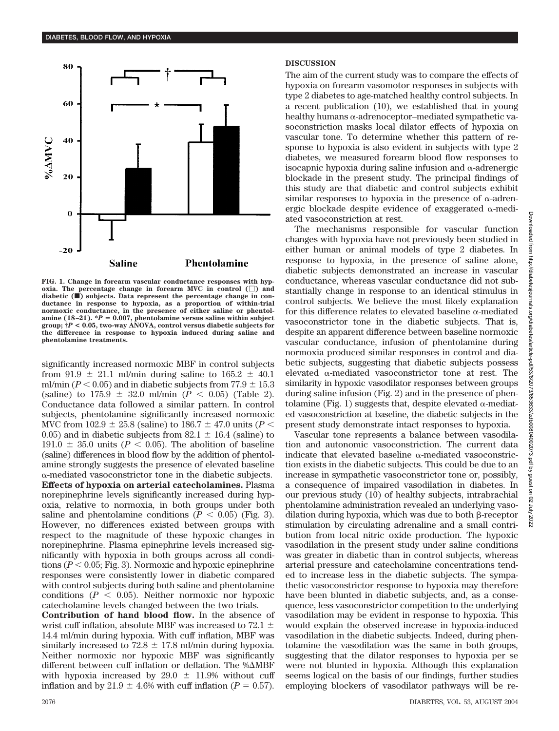

**FIG. 1. Change in forearm vascular conductance responses with hypoxia. The percentage change in forearm MVC in control () and** diabetic ( $\hat{I}$ ) subjects. Data represent the percentage change in con**ductance in response to hypoxia, as a proportion of within-trial normoxic conductance, in the presence of either saline or phentol**amine (18–21).  ${}^*P = 0.007$ , phentolamine versus saline within subject **group; †***P* **< 0.05, two-way ANOVA, control versus diabetic subjects for the difference in response to hypoxia induced during saline and phentolamine treatments.**

significantly increased normoxic MBF in control subjects from  $91.9 \pm 21.1$  ml/min during saline to  $165.2 \pm 40.1$ ml/min ( $P < 0.05$ ) and in diabetic subjects from 77.9  $\pm$  15.3 (saline) to  $175.9 \pm 32.0$  ml/min ( $P < 0.05$ ) (Table 2). Conductance data followed a similar pattern. In control subjects, phentolamine significantly increased normoxic MVC from  $102.9 \pm 25.8$  (saline) to  $186.7 \pm 47.0$  units (*P* < 0.05) and in diabetic subjects from 82.1  $\pm$  16.4 (saline) to 191.0  $\pm$  35.0 units ( $P < 0.05$ ). The abolition of baseline (saline) differences in blood flow by the addition of phentolamine strongly suggests the presence of elevated baseline  $\alpha$ -mediated vasoconstrictor tone in the diabetic subjects. **Effects of hypoxia on arterial catecholamines.** Plasma norepinephrine levels significantly increased during hypoxia, relative to normoxia, in both groups under both saline and phentolamine conditions  $(P < 0.05)$  (Fig. 3). However, no differences existed between groups with respect to the magnitude of these hypoxic changes in norepinephrine. Plasma epinephrine levels increased significantly with hypoxia in both groups across all conditions ( $P < 0.05$ ; Fig. 3). Normoxic and hypoxic epinephrine responses were consistently lower in diabetic compared with control subjects during both saline and phentolamine conditions  $(P < 0.05)$ . Neither normoxic nor hypoxic catecholamine levels changed between the two trials.

**Contribution of hand blood flow.** In the absence of wrist cuff inflation, absolute MBF was increased to 72.1  $\pm$ 14.4 ml/min during hypoxia. With cuff inflation, MBF was similarly increased to 72.8  $\pm$  17.8 ml/min during hypoxia. Neither normoxic nor hypoxic MBF was significantly different between cuff inflation or deflation. The % MBF with hypoxia increased by 29.0  $\pm$  11.9% without cuff inflation and by  $21.9 \pm 4.6\%$  with cuff inflation ( $P = 0.57$ ).

## **DISCUSSION**

The aim of the current study was to compare the effects of hypoxia on forearm vasomotor responses in subjects with type 2 diabetes to age-matched healthy control subjects. In a recent publication (10), we established that in young healthy humans  $\alpha$ -adrenoceptor–mediated sympathetic vasoconstriction masks local dilator effects of hypoxia on vascular tone. To determine whether this pattern of response to hypoxia is also evident in subjects with type 2 diabetes, we measured forearm blood flow responses to isocapnic hypoxia during saline infusion and  $\alpha$ -adrenergic blockade in the present study. The principal findings of this study are that diabetic and control subjects exhibit similar responses to hypoxia in the presence of  $\alpha$ -adrenergic blockade despite evidence of exaggerated  $\alpha$ -mediated vasoconstriction at rest.

The mechanisms responsible for vascular function changes with hypoxia have not previously been studied in either human or animal models of type 2 diabetes. In response to hypoxia, in the presence of saline alone, diabetic subjects demonstrated an increase in vascular conductance, whereas vascular conductance did not substantially change in response to an identical stimulus in control subjects. We believe the most likely explanation for this difference relates to elevated baseline  $\alpha$ -mediated vasoconstrictor tone in the diabetic subjects. That is, despite an apparent difference between baseline normoxic vascular conductance, infusion of phentolamine during normoxia produced similar responses in control and diabetic subjects, suggesting that diabetic subjects possess elevated  $\alpha$ -mediated vasoconstrictor tone at rest. The similarity in hypoxic vasodilator responses between groups during saline infusion (Fig. 2) and in the presence of phentolamine (Fig. 1) suggests that, despite elevated  $\alpha$ -mediated vasoconstriction at baseline, the diabetic subjects in the present study demonstrate intact responses to hypoxia.

Vascular tone represents a balance between vasodilation and autonomic vasoconstriction. The current data indicate that elevated baseline  $\alpha$ -mediated vasoconstriction exists in the diabetic subjects. This could be due to an increase in sympathetic vasoconstrictor tone or, possibly, a consequence of impaired vasodilation in diabetes. In our previous study (10) of healthy subjects, intrabrachial phentolamine administration revealed an underlying vasodilation during hypoxia, which was due to both  $\beta$ -receptor stimulation by circulating adrenaline and a small contribution from local nitric oxide production. The hypoxic vasodilation in the present study under saline conditions was greater in diabetic than in control subjects, whereas arterial pressure and catecholamine concentrations tended to increase less in the diabetic subjects. The sympathetic vasoconstrictor response to hypoxia may therefore have been blunted in diabetic subjects, and, as a consequence, less vasoconstrictor competition to the underlying vasodilation may be evident in response to hypoxia. This would explain the observed increase in hypoxia-induced vasodilation in the diabetic subjects. Indeed, during phentolamine the vasodilation was the same in both groups, suggesting that the dilator responses to hypoxia per se were not blunted in hypoxia. Although this explanation seems logical on the basis of our findings, further studies employing blockers of vasodilator pathways will be re-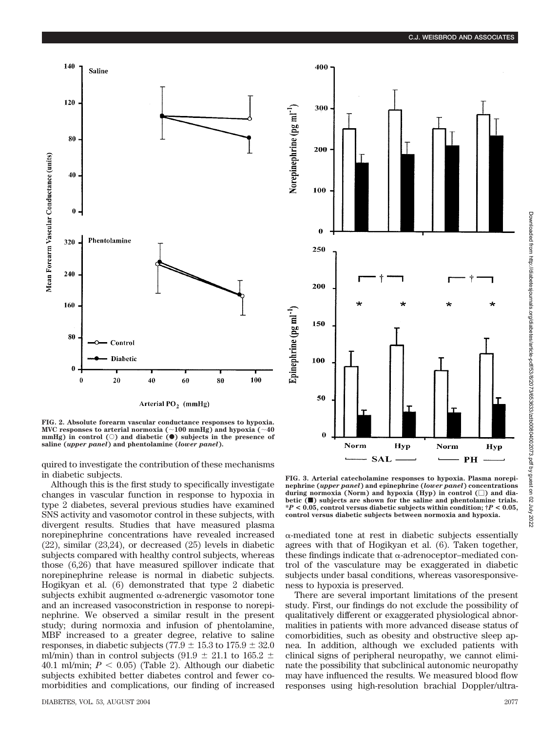

**FIG. 2. Absolute forearm vascular conductance responses to hypoxia. MVC responses to arterial normoxia (** $\sim$ **100 mmHg) and hypoxia (** $\sim$ **40**)  $mmHg$ ) in control  $\textcircled{c}$  and diabetic  $\textcircled{e}$  subjects in the presence of **saline (***upper panel***) and phentolamine (***lower panel***).**

quired to investigate the contribution of these mechanisms in diabetic subjects.

Although this is the first study to specifically investigate changes in vascular function in response to hypoxia in type 2 diabetes, several previous studies have examined SNS activity and vasomotor control in these subjects, with divergent results. Studies that have measured plasma norepinephrine concentrations have revealed increased (22), similar (23,24), or decreased (25) levels in diabetic subjects compared with healthy control subjects, whereas those (6,26) that have measured spillover indicate that norepinephrine release is normal in diabetic subjects. Hogikyan et al. (6) demonstrated that type 2 diabetic subjects exhibit augmented  $\alpha$ -adrenergic vasomotor tone and an increased vasoconstriction in response to norepinephrine. We observed a similar result in the present study; during normoxia and infusion of phentolamine, MBF increased to a greater degree, relative to saline responses, in diabetic subjects (77.9  $\pm$  15.3 to 175.9  $\pm$  32.0 ml/min) than in control subjects (91.9  $\pm$  21.1 to 165.2  $\pm$ 40.1 ml/min;  $P < 0.05$ ) (Table 2). Although our diabetic subjects exhibited better diabetes control and fewer comorbidities and complications, our finding of increased



**FIG. 3. Arterial catecholamine responses to hypoxia. Plasma norepinephrine (***upper panel***) and epinephrine (***lower panel***) concentrations during normoxia (Norm) and hypoxia (Hyp) in control () and diabetic (**f**) subjects are shown for the saline and phentolamine trials. \****P* **< 0.05, control versus diabetic subjects within condition; †***P* **< 0.05, control versus diabetic subjects between normoxia and hypoxia.**

 $\alpha$ -mediated tone at rest in diabetic subjects essentially agrees with that of Hogikyan et al. (6). Taken together, these findings indicate that  $\alpha$ -adrenoceptor–mediated control of the vasculature may be exaggerated in diabetic subjects under basal conditions, whereas vasoresponsiveness to hypoxia is preserved.

There are several important limitations of the present study. First, our findings do not exclude the possibility of qualitatively different or exaggerated physiological abnormalities in patients with more advanced disease status of comorbidities, such as obesity and obstructive sleep apnea. In addition, although we excluded patients with clinical signs of peripheral neuropathy, we cannot eliminate the possibility that subclinical autonomic neuropathy may have influenced the results. We measured blood flow responses using high-resolution brachial Doppler/ultra